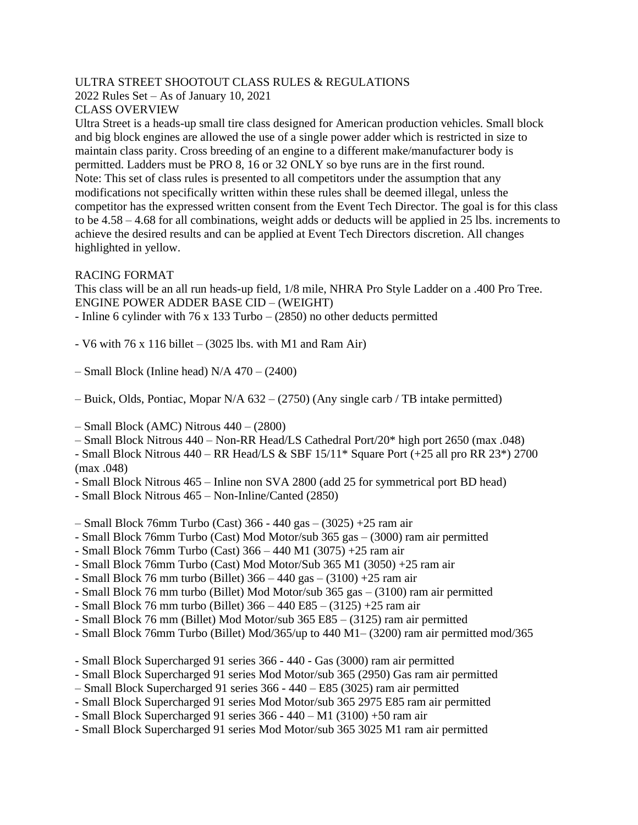### ULTRA STREET SHOOTOUT CLASS RULES & REGULATIONS

2022 Rules Set – As of January 10, 2021

### CLASS OVERVIEW

Ultra Street is a heads-up small tire class designed for American production vehicles. Small block and big block engines are allowed the use of a single power adder which is restricted in size to maintain class parity. Cross breeding of an engine to a different make/manufacturer body is permitted. Ladders must be PRO 8, 16 or 32 ONLY so bye runs are in the first round. Note: This set of class rules is presented to all competitors under the assumption that any modifications not specifically written within these rules shall be deemed illegal, unless the competitor has the expressed written consent from the Event Tech Director. The goal is for this class to be 4.58 – 4.68 for all combinations, weight adds or deducts will be applied in 25 lbs. increments to achieve the desired results and can be applied at Event Tech Directors discretion. All changes highlighted in yellow.

### RACING FORMAT

This class will be an all run heads-up field, 1/8 mile, NHRA Pro Style Ladder on a .400 Pro Tree. ENGINE POWER ADDER BASE CID – (WEIGHT)

- Inline 6 cylinder with 76 x 133 Turbo (2850) no other deducts permitted
- V6 with  $76 \times 116$  billet (3025 lbs. with M1 and Ram Air)
- Small Block (Inline head) N/A 470 (2400)
- Buick, Olds, Pontiac, Mopar N/A 632 (2750) (Any single carb / TB intake permitted)
- $-$  Small Block (AMC) Nitrous  $440 (2800)$
- Small Block Nitrous 440 Non-RR Head/LS Cathedral Port/20\* high port 2650 (max .048)
- Small Block Nitrous 440 RR Head/LS & SBF 15/11\* Square Port (+25 all pro RR 23\*) 2700 (max .048)
- Small Block Nitrous 465 Inline non SVA 2800 (add 25 for symmetrical port BD head)
- Small Block Nitrous 465 Non-Inline/Canted (2850)
- Small Block 76mm Turbo (Cast) 366 440 gas (3025) +25 ram air
- Small Block 76mm Turbo (Cast) Mod Motor/sub 365 gas (3000) ram air permitted
- Small Block 76mm Turbo (Cast) 366 440 M1 (3075) +25 ram air
- Small Block 76mm Turbo (Cast) Mod Motor/Sub 365 M1 (3050) +25 ram air
- Small Block 76 mm turbo (Billet) 366 440 gas (3100) +25 ram air
- Small Block 76 mm turbo (Billet) Mod Motor/sub 365 gas (3100) ram air permitted
- Small Block 76 mm turbo (Billet) 366 440 E85 (3125) +25 ram air
- Small Block 76 mm (Billet) Mod Motor/sub 365 E85 (3125) ram air permitted
- Small Block 76mm Turbo (Billet) Mod/365/up to 440 M1– (3200) ram air permitted mod/365
- Small Block Supercharged 91 series 366 440 Gas (3000) ram air permitted
- Small Block Supercharged 91 series Mod Motor/sub 365 (2950) Gas ram air permitted
- Small Block Supercharged 91 series 366 440 E85 (3025) ram air permitted
- Small Block Supercharged 91 series Mod Motor/sub 365 2975 E85 ram air permitted
- Small Block Supercharged 91 series 366 440 M1 (3100) +50 ram air
- Small Block Supercharged 91 series Mod Motor/sub 365 3025 M1 ram air permitted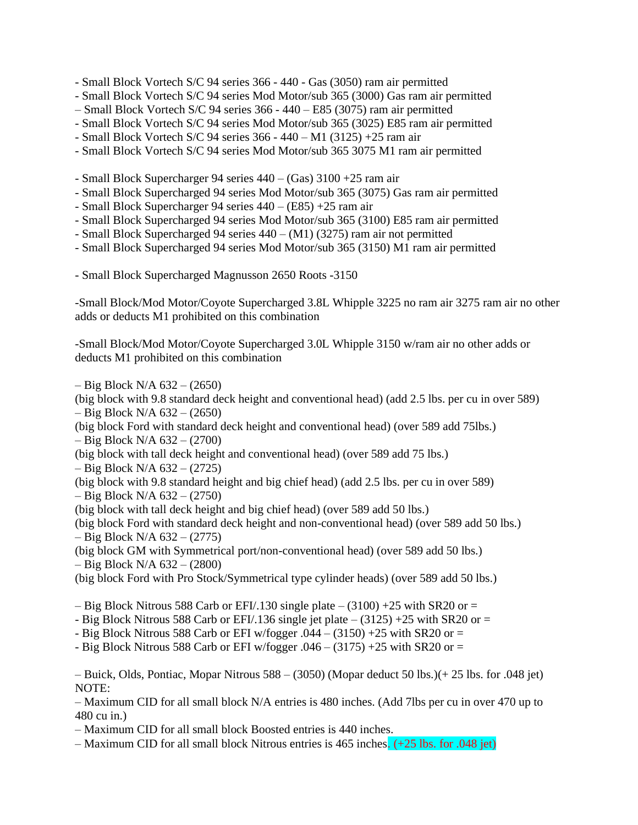- Small Block Vortech S/C 94 series 366 440 Gas (3050) ram air permitted
- Small Block Vortech S/C 94 series Mod Motor/sub 365 (3000) Gas ram air permitted
- Small Block Vortech S/C 94 series 366 440 E85 (3075) ram air permitted
- Small Block Vortech S/C 94 series Mod Motor/sub 365 (3025) E85 ram air permitted
- Small Block Vortech S/C 94 series 366 440 M1 (3125) +25 ram air
- Small Block Vortech S/C 94 series Mod Motor/sub 365 3075 M1 ram air permitted
- Small Block Supercharger 94 series 440 (Gas) 3100 +25 ram air
- Small Block Supercharged 94 series Mod Motor/sub 365 (3075) Gas ram air permitted
- Small Block Supercharger 94 series 440 (E85) +25 ram air
- Small Block Supercharged 94 series Mod Motor/sub 365 (3100) E85 ram air permitted
- Small Block Supercharged 94 series 440 (M1) (3275) ram air not permitted
- Small Block Supercharged 94 series Mod Motor/sub 365 (3150) M1 ram air permitted
- Small Block Supercharged Magnusson 2650 Roots -3150

-Small Block/Mod Motor/Coyote Supercharged 3.8L Whipple 3225 no ram air 3275 ram air no other adds or deducts M1 prohibited on this combination

-Small Block/Mod Motor/Coyote Supercharged 3.0L Whipple 3150 w/ram air no other adds or deducts M1 prohibited on this combination

 $-$  Big Block N/A 632 – (2650)

(big block with 9.8 standard deck height and conventional head) (add 2.5 lbs. per cu in over 589) – Big Block N/A 632 – (2650)

(big block Ford with standard deck height and conventional head) (over 589 add 75lbs.)

– Big Block N/A 632 – (2700)

(big block with tall deck height and conventional head) (over 589 add 75 lbs.)

– Big Block N/A 632 – (2725)

(big block with 9.8 standard height and big chief head) (add 2.5 lbs. per cu in over 589)  $-$  Big Block N/A 632 – (2750)

(big block with tall deck height and big chief head) (over 589 add 50 lbs.)

(big block Ford with standard deck height and non-conventional head) (over 589 add 50 lbs.)  $-$  Big Block N/A 632 – (2775)

(big block GM with Symmetrical port/non-conventional head) (over 589 add 50 lbs.)  $-$  Big Block N/A 632 – (2800)

(big block Ford with Pro Stock/Symmetrical type cylinder heads) (over 589 add 50 lbs.)

 $-$  Big Block Nitrous 588 Carb or EFI/.130 single plate  $-$  (3100) +25 with SR20 or  $=$ 

- Big Block Nitrous 588 Carb or EFI/.136 single jet plate –  $(3125)$  +25 with SR20 or =

- Big Block Nitrous 588 Carb or EFI w/fogger  $.044 - (3150) + 25$  with SR20 or =

- Big Block Nitrous 588 Carb or EFI w/fogger  $.046 - (3175) + 25$  with SR20 or =

– Buick, Olds, Pontiac, Mopar Nitrous 588 – (3050) (Mopar deduct 50 lbs.)(+ 25 lbs. for .048 jet) NOTE:

– Maximum CID for all small block N/A entries is 480 inches. (Add 7lbs per cu in over 470 up to 480 cu in.)

– Maximum CID for all small block Boosted entries is 440 inches.

– Maximum CID for all small block Nitrous entries is 465 inches. (+25 lbs. for .048 jet)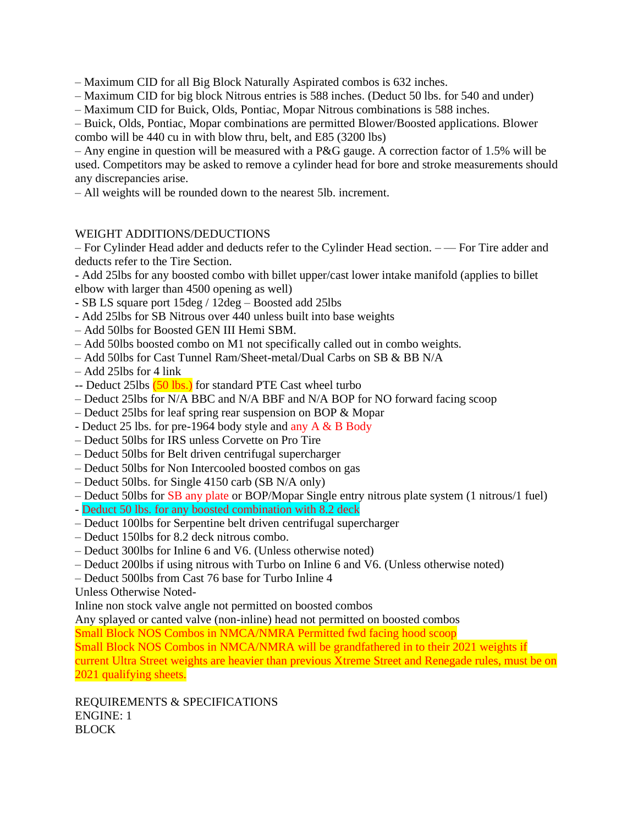– Maximum CID for all Big Block Naturally Aspirated combos is 632 inches.

- Maximum CID for big block Nitrous entries is 588 inches. (Deduct 50 lbs. for 540 and under)
- Maximum CID for Buick, Olds, Pontiac, Mopar Nitrous combinations is 588 inches.

– Buick, Olds, Pontiac, Mopar combinations are permitted Blower/Boosted applications. Blower combo will be 440 cu in with blow thru, belt, and E85 (3200 lbs)

– Any engine in question will be measured with a P&G gauge. A correction factor of 1.5% will be used. Competitors may be asked to remove a cylinder head for bore and stroke measurements should any discrepancies arise.

– All weights will be rounded down to the nearest 5lb. increment.

#### WEIGHT ADDITIONS/DEDUCTIONS

– For Cylinder Head adder and deducts refer to the Cylinder Head section. – — For Tire adder and deducts refer to the Tire Section.

- Add 25lbs for any boosted combo with billet upper/cast lower intake manifold (applies to billet elbow with larger than 4500 opening as well)

- SB LS square port 15deg / 12deg Boosted add 25lbs
- Add 25lbs for SB Nitrous over 440 unless built into base weights
- Add 50lbs for Boosted GEN III Hemi SBM.
- Add 50lbs boosted combo on M1 not specifically called out in combo weights.
- Add 50lbs for Cast Tunnel Ram/Sheet-metal/Dual Carbs on SB & BB N/A
- Add 25lbs for 4 link
- -- Deduct 25lbs (50 lbs.) for standard PTE Cast wheel turbo
- Deduct 25lbs for N/A BBC and N/A BBF and N/A BOP for NO forward facing scoop
- Deduct 25lbs for leaf spring rear suspension on BOP & Mopar
- Deduct 25 lbs. for pre-1964 body style and any A & B Body
- Deduct 50lbs for IRS unless Corvette on Pro Tire
- Deduct 50lbs for Belt driven centrifugal supercharger
- Deduct 50lbs for Non Intercooled boosted combos on gas
- Deduct 50lbs. for Single 4150 carb (SB N/A only)
- Deduct 50lbs for SB any plate or BOP/Mopar Single entry nitrous plate system (1 nitrous/1 fuel)
- Deduct 50 lbs. for any boosted combination with 8.2 deck
- Deduct 100lbs for Serpentine belt driven centrifugal supercharger
- Deduct 150lbs for 8.2 deck nitrous combo.
- Deduct 300lbs for Inline 6 and V6. (Unless otherwise noted)
- Deduct 200lbs if using nitrous with Turbo on Inline 6 and V6. (Unless otherwise noted)
- Deduct 500lbs from Cast 76 base for Turbo Inline 4

Unless Otherwise Noted-

Inline non stock valve angle not permitted on boosted combos

Any splayed or canted valve (non-inline) head not permitted on boosted combos

Small Block NOS Combos in NMCA/NMRA Permitted fwd facing hood scoop

Small Block NOS Combos in NMCA/NMRA will be grandfathered in to their 2021 weights if

current Ultra Street weights are heavier than previous Xtreme Street and Renegade rules, must be on 2021 qualifying sheets.

REQUIREMENTS & SPECIFICATIONS ENGINE: 1 BLOCK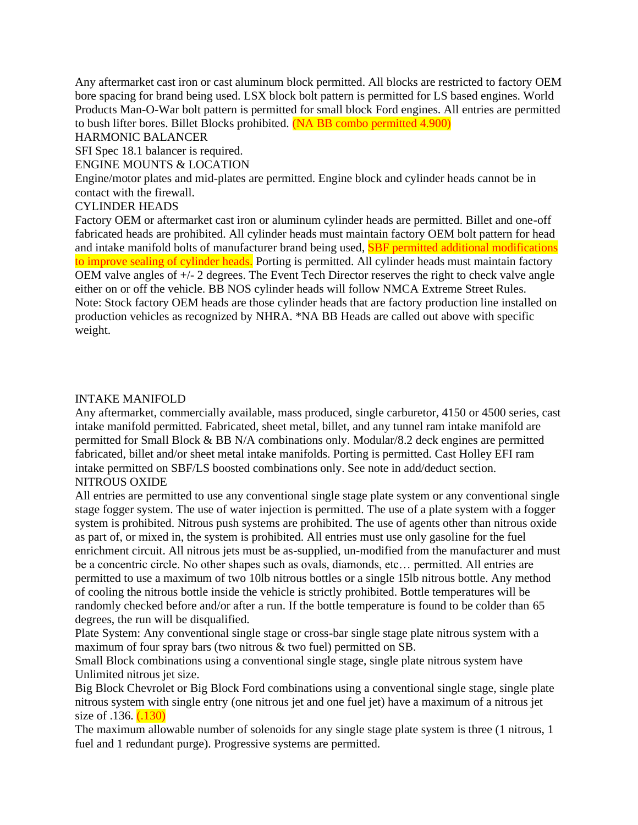Any aftermarket cast iron or cast aluminum block permitted. All blocks are restricted to factory OEM bore spacing for brand being used. LSX block bolt pattern is permitted for LS based engines. World Products Man-O-War bolt pattern is permitted for small block Ford engines. All entries are permitted to bush lifter bores. Billet Blocks prohibited. (NA BB combo permitted 4.900)

HARMONIC BALANCER

SFI Spec 18.1 balancer is required.

ENGINE MOUNTS & LOCATION

Engine/motor plates and mid-plates are permitted. Engine block and cylinder heads cannot be in contact with the firewall.

### CYLINDER HEADS

Factory OEM or aftermarket cast iron or aluminum cylinder heads are permitted. Billet and one-off fabricated heads are prohibited. All cylinder heads must maintain factory OEM bolt pattern for head and intake manifold bolts of manufacturer brand being used, **SBF** permitted additional modifications to improve sealing of cylinder heads. Porting is permitted. All cylinder heads must maintain factory OEM valve angles of +/- 2 degrees. The Event Tech Director reserves the right to check valve angle either on or off the vehicle. BB NOS cylinder heads will follow NMCA Extreme Street Rules. Note: Stock factory OEM heads are those cylinder heads that are factory production line installed on production vehicles as recognized by NHRA. \*NA BB Heads are called out above with specific weight.

#### INTAKE MANIFOLD

Any aftermarket, commercially available, mass produced, single carburetor, 4150 or 4500 series, cast intake manifold permitted. Fabricated, sheet metal, billet, and any tunnel ram intake manifold are permitted for Small Block & BB N/A combinations only. Modular/8.2 deck engines are permitted fabricated, billet and/or sheet metal intake manifolds. Porting is permitted. Cast Holley EFI ram intake permitted on SBF/LS boosted combinations only. See note in add/deduct section. NITROUS OXIDE

All entries are permitted to use any conventional single stage plate system or any conventional single stage fogger system. The use of water injection is permitted. The use of a plate system with a fogger system is prohibited. Nitrous push systems are prohibited. The use of agents other than nitrous oxide as part of, or mixed in, the system is prohibited. All entries must use only gasoline for the fuel enrichment circuit. All nitrous jets must be as-supplied, un-modified from the manufacturer and must be a concentric circle. No other shapes such as ovals, diamonds, etc… permitted. All entries are permitted to use a maximum of two 10lb nitrous bottles or a single 15lb nitrous bottle. Any method of cooling the nitrous bottle inside the vehicle is strictly prohibited. Bottle temperatures will be randomly checked before and/or after a run. If the bottle temperature is found to be colder than 65 degrees, the run will be disqualified.

Plate System: Any conventional single stage or cross-bar single stage plate nitrous system with a maximum of four spray bars (two nitrous & two fuel) permitted on SB.

Small Block combinations using a conventional single stage, single plate nitrous system have Unlimited nitrous jet size.

Big Block Chevrolet or Big Block Ford combinations using a conventional single stage, single plate nitrous system with single entry (one nitrous jet and one fuel jet) have a maximum of a nitrous jet size of  $.136.$   $(.130)$ 

The maximum allowable number of solenoids for any single stage plate system is three (1 nitrous, 1 fuel and 1 redundant purge). Progressive systems are permitted.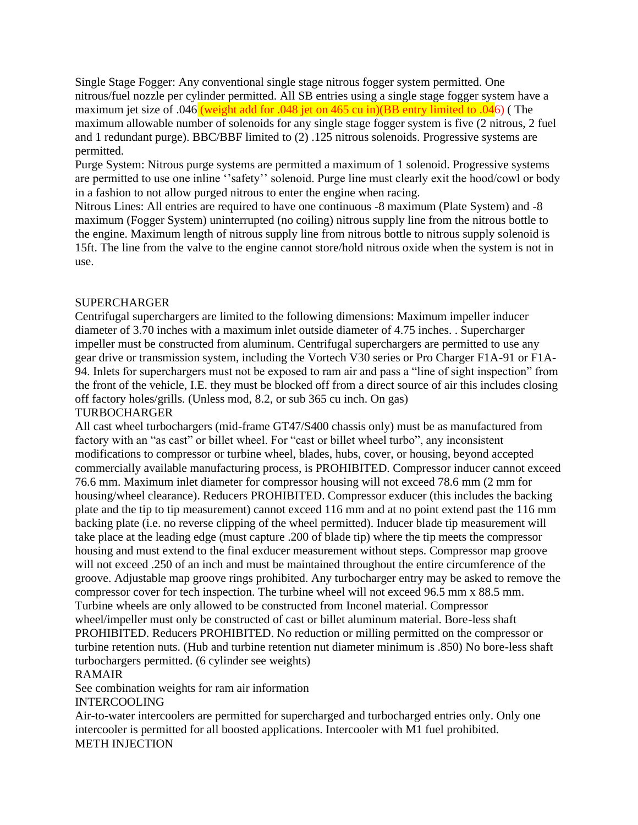Single Stage Fogger: Any conventional single stage nitrous fogger system permitted. One nitrous/fuel nozzle per cylinder permitted. All SB entries using a single stage fogger system have a maximum jet size of .046 (weight add for .048 jet on 465 cu in)(BB entry limited to .046) (The maximum allowable number of solenoids for any single stage fogger system is five (2 nitrous, 2 fuel and 1 redundant purge). BBC/BBF limited to (2) .125 nitrous solenoids. Progressive systems are permitted.

Purge System: Nitrous purge systems are permitted a maximum of 1 solenoid. Progressive systems are permitted to use one inline ''safety'' solenoid. Purge line must clearly exit the hood/cowl or body in a fashion to not allow purged nitrous to enter the engine when racing.

Nitrous Lines: All entries are required to have one continuous -8 maximum (Plate System) and -8 maximum (Fogger System) uninterrupted (no coiling) nitrous supply line from the nitrous bottle to the engine. Maximum length of nitrous supply line from nitrous bottle to nitrous supply solenoid is 15ft. The line from the valve to the engine cannot store/hold nitrous oxide when the system is not in use.

#### SUPERCHARGER

Centrifugal superchargers are limited to the following dimensions: Maximum impeller inducer diameter of 3.70 inches with a maximum inlet outside diameter of 4.75 inches. . Supercharger impeller must be constructed from aluminum. Centrifugal superchargers are permitted to use any gear drive or transmission system, including the Vortech V30 series or Pro Charger F1A-91 or F1A-94. Inlets for superchargers must not be exposed to ram air and pass a "line of sight inspection" from the front of the vehicle, I.E. they must be blocked off from a direct source of air this includes closing off factory holes/grills. (Unless mod, 8.2, or sub 365 cu inch. On gas)

#### TURBOCHARGER

All cast wheel turbochargers (mid-frame GT47/S400 chassis only) must be as manufactured from factory with an "as cast" or billet wheel. For "cast or billet wheel turbo", any inconsistent modifications to compressor or turbine wheel, blades, hubs, cover, or housing, beyond accepted commercially available manufacturing process, is PROHIBITED. Compressor inducer cannot exceed 76.6 mm. Maximum inlet diameter for compressor housing will not exceed 78.6 mm (2 mm for housing/wheel clearance). Reducers PROHIBITED. Compressor exducer (this includes the backing plate and the tip to tip measurement) cannot exceed 116 mm and at no point extend past the 116 mm backing plate (i.e. no reverse clipping of the wheel permitted). Inducer blade tip measurement will take place at the leading edge (must capture .200 of blade tip) where the tip meets the compressor housing and must extend to the final exducer measurement without steps. Compressor map groove will not exceed .250 of an inch and must be maintained throughout the entire circumference of the groove. Adjustable map groove rings prohibited. Any turbocharger entry may be asked to remove the compressor cover for tech inspection. The turbine wheel will not exceed 96.5 mm x 88.5 mm. Turbine wheels are only allowed to be constructed from Inconel material. Compressor wheel/impeller must only be constructed of cast or billet aluminum material. Bore-less shaft PROHIBITED. Reducers PROHIBITED. No reduction or milling permitted on the compressor or turbine retention nuts. (Hub and turbine retention nut diameter minimum is .850) No bore-less shaft turbochargers permitted. (6 cylinder see weights)

#### RAMAIR

See combination weights for ram air information

### INTERCOOLING

Air-to-water intercoolers are permitted for supercharged and turbocharged entries only. Only one intercooler is permitted for all boosted applications. Intercooler with M1 fuel prohibited. METH INJECTION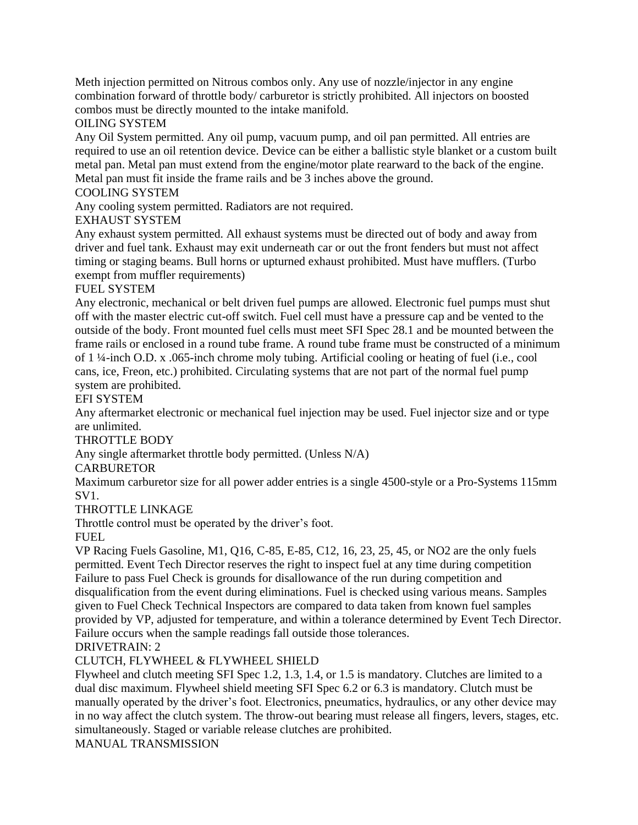Meth injection permitted on Nitrous combos only. Any use of nozzle/injector in any engine combination forward of throttle body/ carburetor is strictly prohibited. All injectors on boosted combos must be directly mounted to the intake manifold.

OILING SYSTEM

Any Oil System permitted. Any oil pump, vacuum pump, and oil pan permitted. All entries are required to use an oil retention device. Device can be either a ballistic style blanket or a custom built metal pan. Metal pan must extend from the engine/motor plate rearward to the back of the engine. Metal pan must fit inside the frame rails and be 3 inches above the ground.

### COOLING SYSTEM

Any cooling system permitted. Radiators are not required.

### EXHAUST SYSTEM

Any exhaust system permitted. All exhaust systems must be directed out of body and away from driver and fuel tank. Exhaust may exit underneath car or out the front fenders but must not affect timing or staging beams. Bull horns or upturned exhaust prohibited. Must have mufflers. (Turbo exempt from muffler requirements)

# FUEL SYSTEM

Any electronic, mechanical or belt driven fuel pumps are allowed. Electronic fuel pumps must shut off with the master electric cut-off switch. Fuel cell must have a pressure cap and be vented to the outside of the body. Front mounted fuel cells must meet SFI Spec 28.1 and be mounted between the frame rails or enclosed in a round tube frame. A round tube frame must be constructed of a minimum of 1 ¼-inch O.D. x .065-inch chrome moly tubing. Artificial cooling or heating of fuel (i.e., cool cans, ice, Freon, etc.) prohibited. Circulating systems that are not part of the normal fuel pump system are prohibited.

### EFI SYSTEM

Any aftermarket electronic or mechanical fuel injection may be used. Fuel injector size and or type are unlimited.

### THROTTLE BODY

Any single aftermarket throttle body permitted. (Unless N/A)

### CARBURETOR

Maximum carburetor size for all power adder entries is a single 4500-style or a Pro-Systems 115mm SV1.

# THROTTLE LINKAGE

Throttle control must be operated by the driver's foot.

### FUEL

VP Racing Fuels Gasoline, M1, Q16, C-85, E-85, C12, 16, 23, 25, 45, or NO2 are the only fuels permitted. Event Tech Director reserves the right to inspect fuel at any time during competition Failure to pass Fuel Check is grounds for disallowance of the run during competition and disqualification from the event during eliminations. Fuel is checked using various means. Samples given to Fuel Check Technical Inspectors are compared to data taken from known fuel samples provided by VP, adjusted for temperature, and within a tolerance determined by Event Tech Director. Failure occurs when the sample readings fall outside those tolerances. DRIVETRAIN: 2

# CLUTCH, FLYWHEEL & FLYWHEEL SHIELD

Flywheel and clutch meeting SFI Spec 1.2, 1.3, 1.4, or 1.5 is mandatory. Clutches are limited to a dual disc maximum. Flywheel shield meeting SFI Spec 6.2 or 6.3 is mandatory. Clutch must be manually operated by the driver's foot. Electronics, pneumatics, hydraulics, or any other device may in no way affect the clutch system. The throw-out bearing must release all fingers, levers, stages, etc. simultaneously. Staged or variable release clutches are prohibited.

MANUAL TRANSMISSION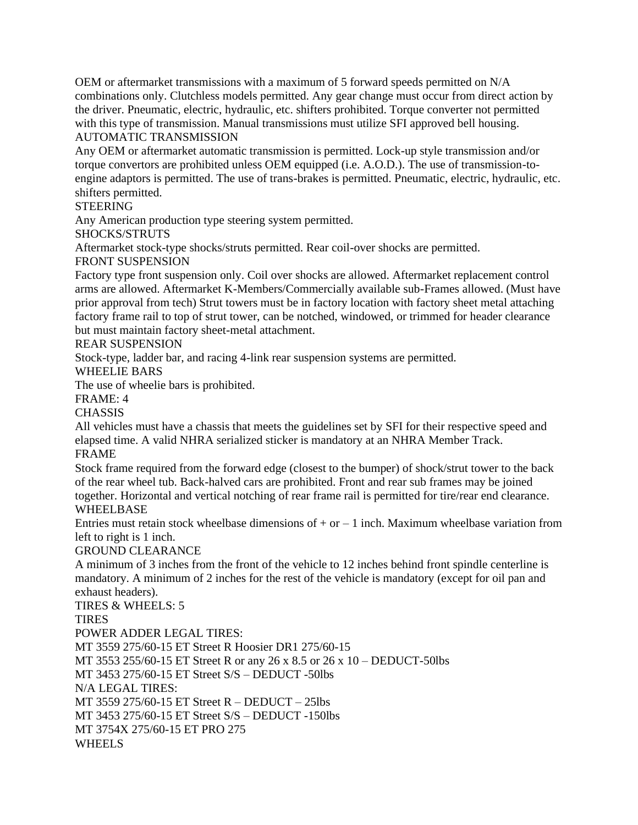OEM or aftermarket transmissions with a maximum of 5 forward speeds permitted on N/A combinations only. Clutchless models permitted. Any gear change must occur from direct action by the driver. Pneumatic, electric, hydraulic, etc. shifters prohibited. Torque converter not permitted with this type of transmission. Manual transmissions must utilize SFI approved bell housing. AUTOMATIC TRANSMISSION

Any OEM or aftermarket automatic transmission is permitted. Lock-up style transmission and/or torque convertors are prohibited unless OEM equipped (i.e. A.O.D.). The use of transmission-toengine adaptors is permitted. The use of trans-brakes is permitted. Pneumatic, electric, hydraulic, etc. shifters permitted.

### **STEERING**

Any American production type steering system permitted.

### SHOCKS/STRUTS

Aftermarket stock-type shocks/struts permitted. Rear coil-over shocks are permitted.

# FRONT SUSPENSION

Factory type front suspension only. Coil over shocks are allowed. Aftermarket replacement control arms are allowed. Aftermarket K-Members/Commercially available sub-Frames allowed. (Must have prior approval from tech) Strut towers must be in factory location with factory sheet metal attaching factory frame rail to top of strut tower, can be notched, windowed, or trimmed for header clearance but must maintain factory sheet-metal attachment.

### REAR SUSPENSION

Stock-type, ladder bar, and racing 4-link rear suspension systems are permitted.

WHEELIE BARS

The use of wheelie bars is prohibited.

#### FRAME: 4

**CHASSIS** 

All vehicles must have a chassis that meets the guidelines set by SFI for their respective speed and elapsed time. A valid NHRA serialized sticker is mandatory at an NHRA Member Track. FRAME

Stock frame required from the forward edge (closest to the bumper) of shock/strut tower to the back of the rear wheel tub. Back-halved cars are prohibited. Front and rear sub frames may be joined together. Horizontal and vertical notching of rear frame rail is permitted for tire/rear end clearance.

### WHEELBASE

Entries must retain stock wheelbase dimensions of  $+$  or  $-1$  inch. Maximum wheelbase variation from left to right is 1 inch.

### GROUND CLEARANCE

A minimum of 3 inches from the front of the vehicle to 12 inches behind front spindle centerline is mandatory. A minimum of 2 inches for the rest of the vehicle is mandatory (except for oil pan and exhaust headers).

TIRES & WHEELS: 5 **TIRES** POWER ADDER LEGAL TIRES: MT 3559 275/60-15 ET Street R Hoosier DR1 275/60-15 MT 3553 255/60-15 ET Street R or any 26 x 8.5 or 26 x 10 – DEDUCT-50lbs MT 3453 275/60-15 ET Street S/S – DEDUCT -50lbs N/A LEGAL TIRES: MT 3559 275/60-15 ET Street R – DEDUCT – 25lbs MT 3453 275/60-15 ET Street S/S – DEDUCT -150lbs MT 3754X 275/60-15 ET PRO 275 WHEELS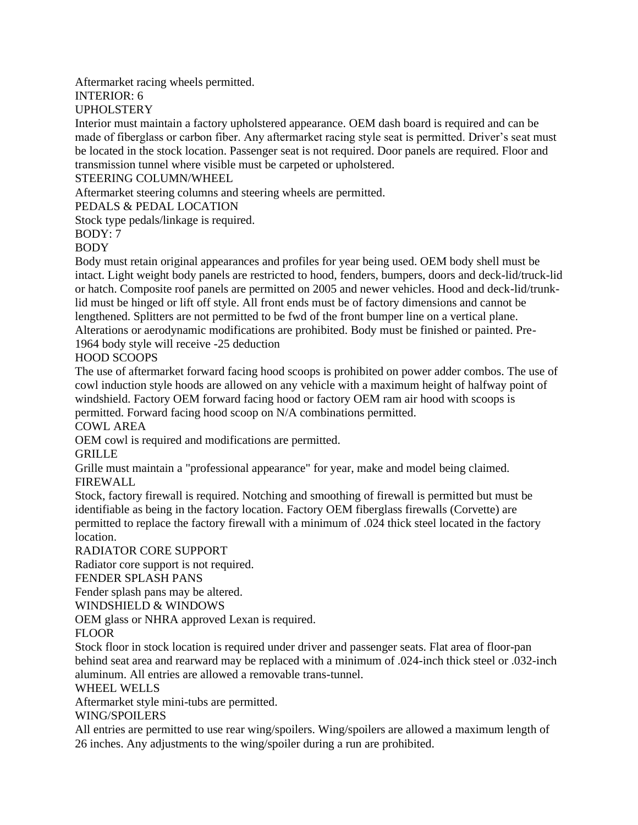### Aftermarket racing wheels permitted.

# INTERIOR: 6

# UPHOLSTERY

Interior must maintain a factory upholstered appearance. OEM dash board is required and can be made of fiberglass or carbon fiber. Any aftermarket racing style seat is permitted. Driver's seat must be located in the stock location. Passenger seat is not required. Door panels are required. Floor and transmission tunnel where visible must be carpeted or upholstered.

### STEERING COLUMN/WHEEL

Aftermarket steering columns and steering wheels are permitted.

# PEDALS & PEDAL LOCATION

Stock type pedals/linkage is required.

# BODY: 7

# BODY

Body must retain original appearances and profiles for year being used. OEM body shell must be intact. Light weight body panels are restricted to hood, fenders, bumpers, doors and deck-lid/truck-lid or hatch. Composite roof panels are permitted on 2005 and newer vehicles. Hood and deck-lid/trunklid must be hinged or lift off style. All front ends must be of factory dimensions and cannot be lengthened. Splitters are not permitted to be fwd of the front bumper line on a vertical plane. Alterations or aerodynamic modifications are prohibited. Body must be finished or painted. Pre-1964 body style will receive -25 deduction

# HOOD SCOOPS

The use of aftermarket forward facing hood scoops is prohibited on power adder combos. The use of cowl induction style hoods are allowed on any vehicle with a maximum height of halfway point of windshield. Factory OEM forward facing hood or factory OEM ram air hood with scoops is permitted. Forward facing hood scoop on N/A combinations permitted.

# COWL AREA

OEM cowl is required and modifications are permitted.

# GRILLE

Grille must maintain a "professional appearance" for year, make and model being claimed. FIREWALL

Stock, factory firewall is required. Notching and smoothing of firewall is permitted but must be identifiable as being in the factory location. Factory OEM fiberglass firewalls (Corvette) are permitted to replace the factory firewall with a minimum of .024 thick steel located in the factory location.

# RADIATOR CORE SUPPORT

Radiator core support is not required.

### FENDER SPLASH PANS

Fender splash pans may be altered.

# WINDSHIELD & WINDOWS

OEM glass or NHRA approved Lexan is required.

# FLOOR

Stock floor in stock location is required under driver and passenger seats. Flat area of floor-pan behind seat area and rearward may be replaced with a minimum of .024-inch thick steel or .032-inch aluminum. All entries are allowed a removable trans-tunnel.

# WHEEL WELLS

Aftermarket style mini-tubs are permitted.

# WING/SPOILERS

All entries are permitted to use rear wing/spoilers. Wing/spoilers are allowed a maximum length of 26 inches. Any adjustments to the wing/spoiler during a run are prohibited.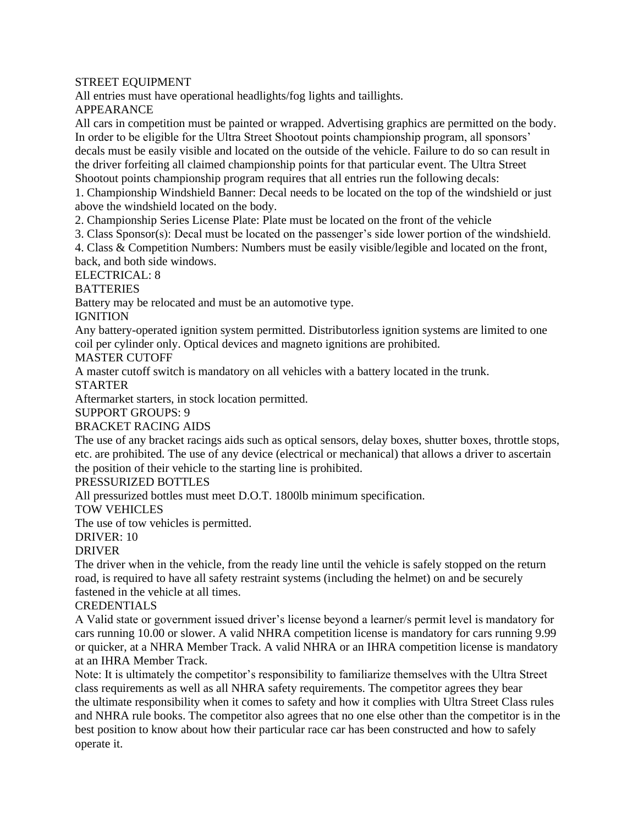#### STREET EQUIPMENT

All entries must have operational headlights/fog lights and taillights.

APPEARANCE

All cars in competition must be painted or wrapped. Advertising graphics are permitted on the body. In order to be eligible for the Ultra Street Shootout points championship program, all sponsors' decals must be easily visible and located on the outside of the vehicle. Failure to do so can result in the driver forfeiting all claimed championship points for that particular event. The Ultra Street Shootout points championship program requires that all entries run the following decals:

1. Championship Windshield Banner: Decal needs to be located on the top of the windshield or just above the windshield located on the body.

2. Championship Series License Plate: Plate must be located on the front of the vehicle

3. Class Sponsor(s): Decal must be located on the passenger's side lower portion of the windshield.

4. Class & Competition Numbers: Numbers must be easily visible/legible and located on the front, back, and both side windows.

ELECTRICAL: 8

**BATTERIES** 

Battery may be relocated and must be an automotive type.

**IGNITION** 

Any battery-operated ignition system permitted. Distributorless ignition systems are limited to one coil per cylinder only. Optical devices and magneto ignitions are prohibited.

### MASTER CUTOFF

A master cutoff switch is mandatory on all vehicles with a battery located in the trunk.

### STARTER

Aftermarket starters, in stock location permitted.

SUPPORT GROUPS: 9

# BRACKET RACING AIDS

The use of any bracket racings aids such as optical sensors, delay boxes, shutter boxes, throttle stops, etc. are prohibited. The use of any device (electrical or mechanical) that allows a driver to ascertain the position of their vehicle to the starting line is prohibited.

# PRESSURIZED BOTTLES

All pressurized bottles must meet D.O.T. 1800lb minimum specification.

#### TOW VEHICLES

The use of tow vehicles is permitted.

### $DRIVER·10$

### DRIVER

The driver when in the vehicle, from the ready line until the vehicle is safely stopped on the return road, is required to have all safety restraint systems (including the helmet) on and be securely fastened in the vehicle at all times.

### CREDENTIALS

A Valid state or government issued driver's license beyond a learner/s permit level is mandatory for cars running 10.00 or slower. A valid NHRA competition license is mandatory for cars running 9.99 or quicker, at a NHRA Member Track. A valid NHRA or an IHRA competition license is mandatory at an IHRA Member Track.

Note: It is ultimately the competitor's responsibility to familiarize themselves with the Ultra Street class requirements as well as all NHRA safety requirements. The competitor agrees they bear the ultimate responsibility when it comes to safety and how it complies with Ultra Street Class rules and NHRA rule books. The competitor also agrees that no one else other than the competitor is in the best position to know about how their particular race car has been constructed and how to safely operate it.